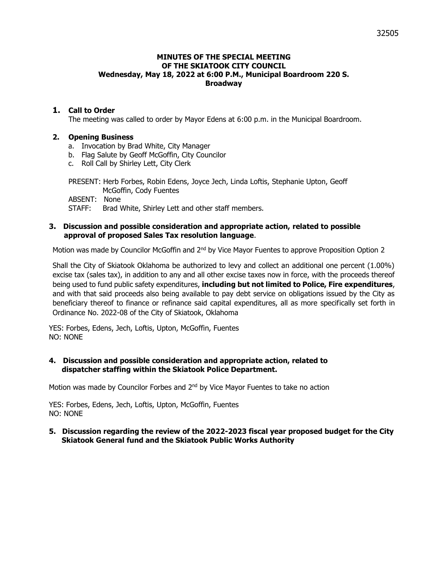## **MINUTES OF THE SPECIAL MEETING OF THE SKIATOOK CITY COUNCIL Wednesday, May 18, 2022 at 6:00 P.M., Municipal Boardroom 220 S. Broadway**

# **1. Call to Order**

The meeting was called to order by Mayor Edens at 6:00 p.m. in the Municipal Boardroom.

#### **2. Opening Business**

- a. Invocation by Brad White, City Manager
- b. Flag Salute by Geoff McGoffin, City Councilor
- c. Roll Call by Shirley Lett, City Clerk

PRESENT: Herb Forbes, Robin Edens, Joyce Jech, Linda Loftis, Stephanie Upton, Geoff McGoffin, Cody Fuentes ABSENT: None STAFF: Brad White, Shirley Lett and other staff members.

# **3. Discussion and possible consideration and appropriate action, related to possible approval of proposed Sales Tax resolution language**.

Motion was made by Councilor McGoffin and 2<sup>nd</sup> by Vice Mayor Fuentes to approve Proposition Option 2

Shall the City of Skiatook Oklahoma be authorized to levy and collect an additional one percent (1.00%) excise tax (sales tax), in addition to any and all other excise taxes now in force, with the proceeds thereof being used to fund public safety expenditures, **including but not limited to Police, Fire expenditures**, and with that said proceeds also being available to pay debt service on obligations issued by the City as beneficiary thereof to finance or refinance said capital expenditures, all as more specifically set forth in Ordinance No. 2022-08 of the City of Skiatook, Oklahoma

YES: Forbes, Edens, Jech, Loftis, Upton, McGoffin, Fuentes NO: NONE

## **4. Discussion and possible consideration and appropriate action, related to dispatcher staffing within the Skiatook Police Department.**

Motion was made by Councilor Forbes and  $2<sup>nd</sup>$  by Vice Mayor Fuentes to take no action

YES: Forbes, Edens, Jech, Loftis, Upton, McGoffin, Fuentes NO: NONE

## **5. Discussion regarding the review of the 2022-2023 fiscal year proposed budget for the City Skiatook General fund and the Skiatook Public Works Authority**